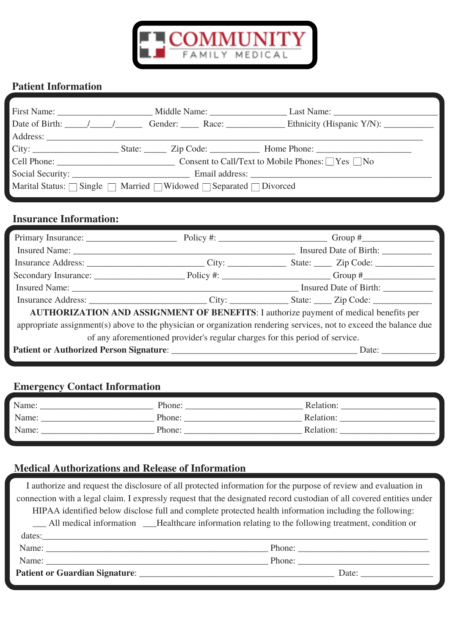

## **Patient Information**

| Marital Status: $\Box$ Single $\Box$ Married $\Box$ Widowed $\Box$ Separated $\Box$ Divorced |  |  |
|----------------------------------------------------------------------------------------------|--|--|
|                                                                                              |  |  |

### **Insurance Information:**

|                                                                                                                    |  | Insured Date of Birth: |
|--------------------------------------------------------------------------------------------------------------------|--|------------------------|
|                                                                                                                    |  |                        |
|                                                                                                                    |  |                        |
|                                                                                                                    |  |                        |
|                                                                                                                    |  |                        |
| <b>AUTHORIZATION AND ASSIGNMENT OF BENEFITS:</b> I authorize payment of medical benefits per                       |  |                        |
| appropriate assignment(s) above to the physician or organization rendering services, not to exceed the balance due |  |                        |
| of any aforementioned provider's regular charges for this period of service.                                       |  |                        |
|                                                                                                                    |  | Date: $\qquad \qquad$  |

# **Emergency Contact Information**

| Name: | Phone: | Relation: |
|-------|--------|-----------|
| Name: | Phone: | Relation: |
| Name: | Phone: | Relation: |
|       |        |           |

## **Medical Authorizations and Release of Information**

| I authorize and request the disclosure of all protected information for the purpose of review and evaluation in                                                                                                                |                       |  |
|--------------------------------------------------------------------------------------------------------------------------------------------------------------------------------------------------------------------------------|-----------------------|--|
| connection with a legal claim. I expressly request that the designated record custodian of all covered entities under                                                                                                          |                       |  |
| HIPAA identified below disclose full and complete protected health information including the following:                                                                                                                        |                       |  |
| All medical information — Healthcare information relating to the following treatment, condition or                                                                                                                             |                       |  |
|                                                                                                                                                                                                                                |                       |  |
| Name: Phone: Phone: Phone: Phone: Phone: Phone: Phone: Phone: Phone: Phone: Phone: Phone: Phone: Phone: Phone: Phone: Phone: Phone: Phone: Phone: Phone: Phone: Phone: Phone: Phone: Phone: Phone: Phone: Phone: Phone: Phone: |                       |  |
|                                                                                                                                                                                                                                | Phone:                |  |
| <b>Patient or Guardian Signature:</b>                                                                                                                                                                                          | Date: $\qquad \qquad$ |  |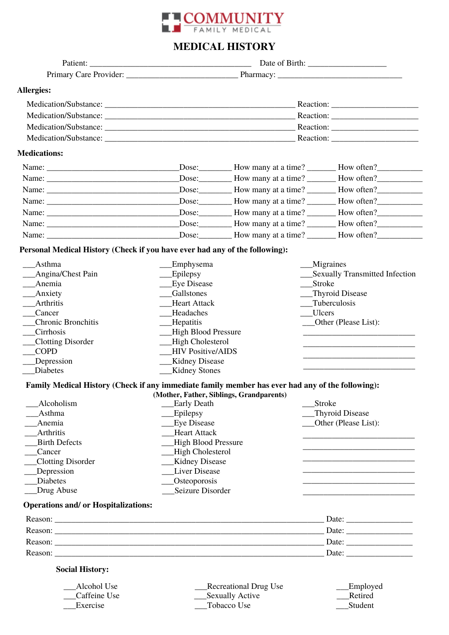

### **MEDICAL HISTORY**

| Allergies:                                                                                       |                                            |                                          |                                                                                                                       |
|--------------------------------------------------------------------------------------------------|--------------------------------------------|------------------------------------------|-----------------------------------------------------------------------------------------------------------------------|
|                                                                                                  |                                            |                                          |                                                                                                                       |
|                                                                                                  |                                            |                                          |                                                                                                                       |
|                                                                                                  |                                            |                                          |                                                                                                                       |
|                                                                                                  |                                            |                                          |                                                                                                                       |
|                                                                                                  |                                            |                                          |                                                                                                                       |
| <b>Medications:</b>                                                                              |                                            |                                          |                                                                                                                       |
|                                                                                                  |                                            |                                          | Dose: How many at a time? How often?                                                                                  |
|                                                                                                  |                                            |                                          | Dose: How many at a time? How often?                                                                                  |
|                                                                                                  |                                            |                                          |                                                                                                                       |
|                                                                                                  |                                            |                                          | Dose: How many at a time? How often?                                                                                  |
|                                                                                                  |                                            |                                          |                                                                                                                       |
|                                                                                                  |                                            |                                          |                                                                                                                       |
|                                                                                                  |                                            |                                          |                                                                                                                       |
|                                                                                                  |                                            |                                          |                                                                                                                       |
| Personal Medical History (Check if you have ever had any of the following):                      |                                            |                                          |                                                                                                                       |
| Asthma                                                                                           | Emphysema                                  |                                          | __Migraines                                                                                                           |
| _Angina/Chest Pain                                                                               | Epilepsy                                   |                                          | __Sexually Transmitted Infection                                                                                      |
| __Anemia                                                                                         | <b>Eye Disease</b>                         |                                          | Stroke                                                                                                                |
| $\_$ Anxiety                                                                                     | Gallstones                                 |                                          | Thyroid Disease                                                                                                       |
| Arthritis                                                                                        | __Tuberculosis<br><b>Heart Attack</b>      |                                          |                                                                                                                       |
| Cancer                                                                                           | Headaches                                  |                                          | Ulcers                                                                                                                |
| <b>Chronic Bronchitis</b>                                                                        | _Hepatitis                                 |                                          | ___Other (Please List):                                                                                               |
| Cirrhosis                                                                                        | -High Blood Pressure                       |                                          | <u> 1989 - Johann Stein, mars an deutscher Stein und der Stein und der Stein und der Stein und der Stein und der</u>  |
| _Clotting Disorder                                                                               | -High Cholesterol                          |                                          |                                                                                                                       |
| <b>COPD</b>                                                                                      | <b>HIV Positive/AIDS</b>                   |                                          | <u> 1980 - Johann John Stone, mars and de final de la provincia de la provincia de la provincia de la provincia d</u> |
| __Depression                                                                                     | __Kidney Disease                           |                                          |                                                                                                                       |
| Diabetes                                                                                         | __Kidney Stones                            |                                          |                                                                                                                       |
| Family Medical History (Check if any immediate family member has ever had any of the following): |                                            |                                          |                                                                                                                       |
| Alcoholism                                                                                       | <b>Early Death</b>                         | (Mother, Father, Siblings, Grandparents) | <b>Stroke</b>                                                                                                         |
| Asthma                                                                                           | Epilepsy                                   |                                          | Thyroid Disease                                                                                                       |
| Anemia                                                                                           |                                            |                                          |                                                                                                                       |
| <b>Arthritis</b>                                                                                 | <b>Eye Disease</b><br>Other (Please List): |                                          |                                                                                                                       |
| <b>Birth Defects</b>                                                                             | <b>Heart Attack</b>                        |                                          |                                                                                                                       |
| Cancer                                                                                           | <b>High Blood Pressure</b>                 |                                          |                                                                                                                       |
| Clotting Disorder                                                                                | High Cholesterol                           |                                          |                                                                                                                       |
| _Depression                                                                                      | Kidney Disease<br><b>Liver Disease</b>     |                                          |                                                                                                                       |
| <b>Diabetes</b>                                                                                  |                                            |                                          |                                                                                                                       |
| _Drug Abuse                                                                                      | <b>Osteoporosis</b><br>Seizure Disorder    |                                          |                                                                                                                       |
|                                                                                                  |                                            |                                          |                                                                                                                       |
| <b>Operations and/ or Hospitalizations:</b>                                                      |                                            |                                          |                                                                                                                       |
|                                                                                                  |                                            |                                          | Date: $\frac{1}{\sqrt{1-\frac{1}{2}} \cdot \frac{1}{2}}$                                                              |
|                                                                                                  |                                            |                                          | Date: $\frac{1}{\sqrt{1-\frac{1}{2}}\cdot\frac{1}{2}}$                                                                |
|                                                                                                  |                                            |                                          |                                                                                                                       |
| Reason:                                                                                          |                                            |                                          | Date: $\frac{1}{\sqrt{1-\frac{1}{2}}\cdot\frac{1}{2}}$                                                                |
| <b>Social History:</b>                                                                           |                                            |                                          |                                                                                                                       |
| Alcohol Use                                                                                      |                                            | <b>Recreational Drug Use</b>             | Employed                                                                                                              |
| Caffeine Use                                                                                     |                                            | <b>Sexually Active</b>                   | Retired                                                                                                               |
| Exercise                                                                                         | Tobacco Use<br>Student                     |                                          |                                                                                                                       |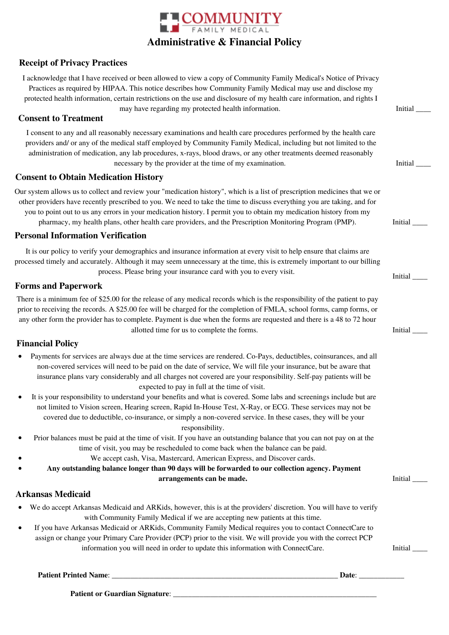

**COMMUNITY** 

assign or change your Primary Care Provider (PCP) prior to the visit. We will provide you with the correct PCP information you will need in order to update this information with ConnectCare. Initial

**Patient Printed Name**: \_\_\_\_\_\_\_\_\_\_\_\_\_\_\_\_\_\_\_\_\_\_\_\_\_\_\_\_\_\_\_\_\_\_\_\_\_\_\_\_\_\_\_\_\_\_\_\_\_\_\_\_\_\_\_\_\_\_\_\_ **Date**: \_\_\_\_\_\_\_\_\_\_\_\_

**Patient or Guardian Signature**: \_\_\_\_\_\_\_\_\_\_\_\_\_\_\_\_\_\_\_\_\_\_\_\_\_\_\_\_\_\_\_\_\_\_\_\_\_\_\_\_\_\_\_\_\_\_\_\_\_\_\_\_\_\_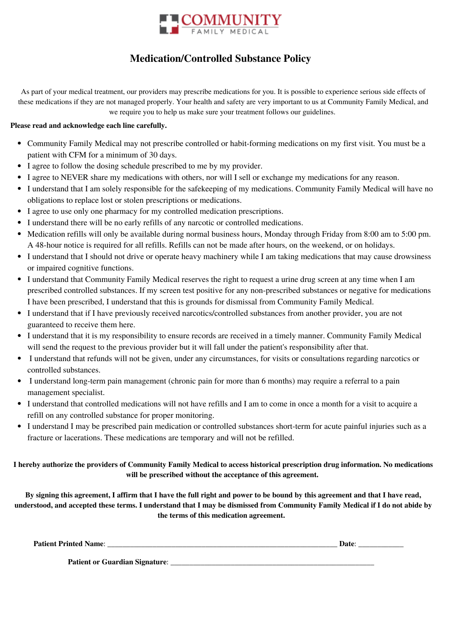

### **Medication/Controlled Substance Policy**

As part of your medical treatment, our providers may prescribe medications for you. It is possible to experience serious side effects of these medications if they are not managed properly. Your health and safety are very important to us at Community Family Medical, and we require you to help us make sure your treatment follows our guidelines.

#### **Please read and acknowledge each line carefully.**

- Community Family Medical may not prescribe controlled or habit-forming medications on my first visit. You must be a patient with CFM for a minimum of 30 days.
- I agree to follow the dosing schedule prescribed to me by my provider.
- I agree to NEVER share my medications with others, nor will I sell or exchange my medications for any reason.
- I understand that I am solely responsible for the safekeeping of my medications. Community Family Medical will have no obligations to replace lost or stolen prescriptions or medications.
- I agree to use only one pharmacy for my controlled medication prescriptions.
- I understand there will be no early refills of any narcotic or controlled medications.
- Medication refills will only be available during normal business hours, Monday through Friday from 8:00 am to 5:00 pm. A 48-hour notice is required for all refills. Refills can not be made after hours, on the weekend, or on holidays.
- I understand that I should not drive or operate heavy machinery while I am taking medications that may cause drowsiness or impaired cognitive functions.
- I understand that Community Family Medical reserves the right to request a urine drug screen at any time when I am prescribed controlled substances. If my screen test positive for any non-prescribed substances or negative for medications I have been prescribed, I understand that this is grounds for dismissal from Community Family Medical.
- I understand that if I have previously received narcotics/controlled substances from another provider, you are not guaranteed to receive them here.
- I understand that it is my responsibility to ensure records are received in a timely manner. Community Family Medical will send the request to the previous provider but it will fall under the patient's responsibility after that.
- I understand that refunds will not be given, under any circumstances, for visits or consultations regarding narcotics or controlled substances.
- I understand long-term pain management (chronic pain for more than 6 months) may require a referral to a pain management specialist.
- I understand that controlled medications will not have refills and I am to come in once a month for a visit to acquire a refill on any controlled substance for proper monitoring.
- I understand I may be prescribed pain medication or controlled substances short-term for acute painful injuries such as a fracture or lacerations. These medications are temporary and will not be refilled.

#### I hereby authorize the providers of Community Family Medical to access historical prescription drug information. No medications **will be prescribed without the acceptance of this agreement.**

By signing this agreement, I affirm that I have the full right and power to be bound by this agreement and that I have read, understood, and accepted these terms. I understand that I may be dismissed from Community Family Medical if I do not abide by **the terms of this medication agreement.**

| <b>Patient Printed Name:</b>   | Date |
|--------------------------------|------|
| Patient or Guardian Signature: |      |